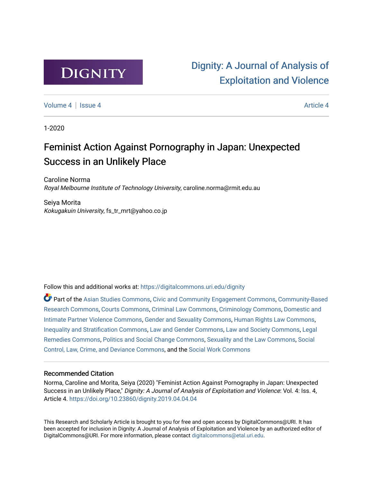

# [Dignity: A Journal of Analysis of](https://digitalcommons.uri.edu/dignity)  [Exploitation and Violence](https://digitalcommons.uri.edu/dignity)

[Volume 4](https://digitalcommons.uri.edu/dignity/vol4) | [Issue 4](https://digitalcommons.uri.edu/dignity/vol4/iss4) Article 4

1-2020

# Feminist Action Against Pornography in Japan: Unexpected Success in an Unlikely Place

Caroline Norma Royal Melbourne Institute of Technology University, caroline.norma@rmit.edu.au

Seiya Morita Kokugakuin University, fs\_tr\_mrt@yahoo.co.jp

Follow this and additional works at: [https://digitalcommons.uri.edu/dignity](https://digitalcommons.uri.edu/dignity?utm_source=digitalcommons.uri.edu%2Fdignity%2Fvol4%2Fiss4%2F4&utm_medium=PDF&utm_campaign=PDFCoverPages) 

Part of the [Asian Studies Commons,](http://network.bepress.com/hgg/discipline/361?utm_source=digitalcommons.uri.edu%2Fdignity%2Fvol4%2Fiss4%2F4&utm_medium=PDF&utm_campaign=PDFCoverPages) [Civic and Community Engagement Commons](http://network.bepress.com/hgg/discipline/1028?utm_source=digitalcommons.uri.edu%2Fdignity%2Fvol4%2Fiss4%2F4&utm_medium=PDF&utm_campaign=PDFCoverPages), [Community-Based](http://network.bepress.com/hgg/discipline/1047?utm_source=digitalcommons.uri.edu%2Fdignity%2Fvol4%2Fiss4%2F4&utm_medium=PDF&utm_campaign=PDFCoverPages) [Research Commons,](http://network.bepress.com/hgg/discipline/1047?utm_source=digitalcommons.uri.edu%2Fdignity%2Fvol4%2Fiss4%2F4&utm_medium=PDF&utm_campaign=PDFCoverPages) [Courts Commons,](http://network.bepress.com/hgg/discipline/839?utm_source=digitalcommons.uri.edu%2Fdignity%2Fvol4%2Fiss4%2F4&utm_medium=PDF&utm_campaign=PDFCoverPages) [Criminal Law Commons,](http://network.bepress.com/hgg/discipline/912?utm_source=digitalcommons.uri.edu%2Fdignity%2Fvol4%2Fiss4%2F4&utm_medium=PDF&utm_campaign=PDFCoverPages) [Criminology Commons,](http://network.bepress.com/hgg/discipline/417?utm_source=digitalcommons.uri.edu%2Fdignity%2Fvol4%2Fiss4%2F4&utm_medium=PDF&utm_campaign=PDFCoverPages) [Domestic and](http://network.bepress.com/hgg/discipline/1309?utm_source=digitalcommons.uri.edu%2Fdignity%2Fvol4%2Fiss4%2F4&utm_medium=PDF&utm_campaign=PDFCoverPages)  [Intimate Partner Violence Commons](http://network.bepress.com/hgg/discipline/1309?utm_source=digitalcommons.uri.edu%2Fdignity%2Fvol4%2Fiss4%2F4&utm_medium=PDF&utm_campaign=PDFCoverPages), [Gender and Sexuality Commons,](http://network.bepress.com/hgg/discipline/420?utm_source=digitalcommons.uri.edu%2Fdignity%2Fvol4%2Fiss4%2F4&utm_medium=PDF&utm_campaign=PDFCoverPages) [Human Rights Law Commons,](http://network.bepress.com/hgg/discipline/847?utm_source=digitalcommons.uri.edu%2Fdignity%2Fvol4%2Fiss4%2F4&utm_medium=PDF&utm_campaign=PDFCoverPages) [Inequality and Stratification Commons,](http://network.bepress.com/hgg/discipline/421?utm_source=digitalcommons.uri.edu%2Fdignity%2Fvol4%2Fiss4%2F4&utm_medium=PDF&utm_campaign=PDFCoverPages) [Law and Gender Commons,](http://network.bepress.com/hgg/discipline/1298?utm_source=digitalcommons.uri.edu%2Fdignity%2Fvol4%2Fiss4%2F4&utm_medium=PDF&utm_campaign=PDFCoverPages) [Law and Society Commons](http://network.bepress.com/hgg/discipline/853?utm_source=digitalcommons.uri.edu%2Fdignity%2Fvol4%2Fiss4%2F4&utm_medium=PDF&utm_campaign=PDFCoverPages), [Legal](http://network.bepress.com/hgg/discipline/618?utm_source=digitalcommons.uri.edu%2Fdignity%2Fvol4%2Fiss4%2F4&utm_medium=PDF&utm_campaign=PDFCoverPages)  [Remedies Commons,](http://network.bepress.com/hgg/discipline/618?utm_source=digitalcommons.uri.edu%2Fdignity%2Fvol4%2Fiss4%2F4&utm_medium=PDF&utm_campaign=PDFCoverPages) [Politics and Social Change Commons,](http://network.bepress.com/hgg/discipline/425?utm_source=digitalcommons.uri.edu%2Fdignity%2Fvol4%2Fiss4%2F4&utm_medium=PDF&utm_campaign=PDFCoverPages) [Sexuality and the Law Commons](http://network.bepress.com/hgg/discipline/877?utm_source=digitalcommons.uri.edu%2Fdignity%2Fvol4%2Fiss4%2F4&utm_medium=PDF&utm_campaign=PDFCoverPages), [Social](http://network.bepress.com/hgg/discipline/429?utm_source=digitalcommons.uri.edu%2Fdignity%2Fvol4%2Fiss4%2F4&utm_medium=PDF&utm_campaign=PDFCoverPages)  [Control, Law, Crime, and Deviance Commons](http://network.bepress.com/hgg/discipline/429?utm_source=digitalcommons.uri.edu%2Fdignity%2Fvol4%2Fiss4%2F4&utm_medium=PDF&utm_campaign=PDFCoverPages), and the [Social Work Commons](http://network.bepress.com/hgg/discipline/713?utm_source=digitalcommons.uri.edu%2Fdignity%2Fvol4%2Fiss4%2F4&utm_medium=PDF&utm_campaign=PDFCoverPages)

## Recommended Citation

Norma, Caroline and Morita, Seiya (2020) "Feminist Action Against Pornography in Japan: Unexpected Success in an Unlikely Place," Dignity: A Journal of Analysis of Exploitation and Violence: Vol. 4: Iss. 4, Article 4. <https://doi.org/10.23860/dignity.2019.04.04.04>

This Research and Scholarly Article is brought to you for free and open access by DigitalCommons@URI. It has been accepted for inclusion in Dignity: A Journal of Analysis of Exploitation and Violence by an authorized editor of DigitalCommons@URI. For more information, please contact [digitalcommons@etal.uri.edu.](mailto:digitalcommons@etal.uri.edu)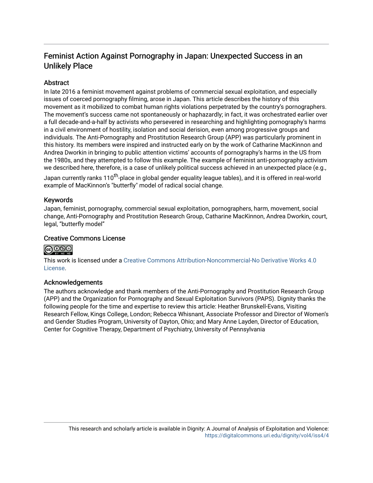# Feminist Action Against Pornography in Japan: Unexpected Success in an Unlikely Place

# **Abstract**

In late 2016 a feminist movement against problems of commercial sexual exploitation, and especially issues of coerced pornography filming, arose in Japan. This article describes the history of this movement as it mobilized to combat human rights violations perpetrated by the country's pornographers. The movement's success came not spontaneously or haphazardly; in fact, it was orchestrated earlier over a full decade-and-a-half by activists who persevered in researching and highlighting pornography's harms in a civil environment of hostility, isolation and social derision, even among progressive groups and individuals. The Anti-Pornography and Prostitution Research Group (APP) was particularly prominent in this history. Its members were inspired and instructed early on by the work of Catharine MacKinnon and Andrea Dworkin in bringing to public attention victims' accounts of pornography's harms in the US from the 1980s, and they attempted to follow this example. The example of feminist anti-pornography activism we described here, therefore, is a case of unlikely political success achieved in an unexpected place (e.g.,

Japan currently ranks 110<sup>th</sup>-place in global gender equality league tables), and it is offered in real-world example of MacKinnon's "butterfly" model of radical social change.

# Keywords

Japan, feminist, pornography, commercial sexual exploitation, pornographers, harm, movement, social change, Anti-Pornography and Prostitution Research Group, Catharine MacKinnon, Andrea Dworkin, court, legal, "butterfly model"

# Creative Commons License

# **@000**

This work is licensed under a [Creative Commons Attribution-Noncommercial-No Derivative Works 4.0](https://creativecommons.org/licenses/by-nc-nd/4.0/) [License](https://creativecommons.org/licenses/by-nc-nd/4.0/).

## Acknowledgements

The authors acknowledge and thank members of the Anti-Pornography and Prostitution Research Group (APP) and the Organization for Pornography and Sexual Exploitation Survivors (PAPS). Dignity thanks the following people for the time and expertise to review this article: Heather Brunskell-Evans, Visiting Research Fellow, Kings College, London; Rebecca Whisnant, Associate Professor and Director of Women's and Gender Studies Program, University of Dayton, Ohio; and Mary Anne Layden, Director of Education, Center for Cognitive Therapy, Department of Psychiatry, University of Pennsylvania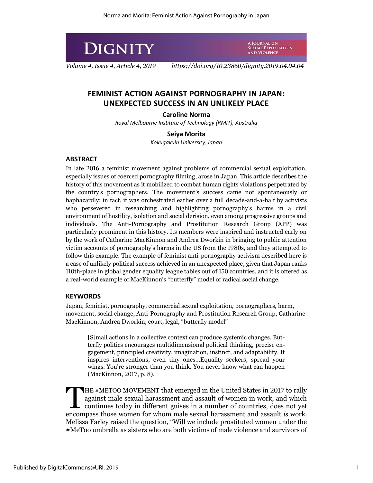

*Volume 4, Issue 4, Article 4, 2019 https://doi.org/10.23860/dignity.2019.04.04.04*

A JOURNAL ON

SEXUAL EXPLOITATION **AND VIOLENCE** 

# **FEMINIST ACTION AGAINST PORNOGRAPHY IN JAPAN: UNEXPECTED SUCCESS IN AN UNLIKELY PLACE**

## **Caroline Norma**

*Royal Melbourne Institute of Technology (RMIT), Australia*

## **Seiya Morita**

*Kokugakuin University, Japan*

# **ABSTRACT**

In late 2016 a feminist movement against problems of commercial sexual exploitation, especially issues of coerced pornography filming, arose in Japan. This article describes the history of this movement as it mobilized to combat human rights violations perpetrated by the country's pornographers. The movement's success came not spontaneously or haphazardly; in fact, it was orchestrated earlier over a full decade-and-a-half by activists who persevered in researching and highlighting pornography's harms in a civil environment of hostility, isolation and social derision, even among progressive groups and individuals. The Anti-Pornography and Prostitution Research Group (APP) was particularly prominent in this history. Its members were inspired and instructed early on by the work of Catharine MacKinnon and Andrea Dworkin in bringing to public attention victim accounts of pornography's harms in the US from the 1980s, and they attempted to follow this example. The example of feminist anti-pornography activism described here is a case of unlikely political success achieved in an unexpected place, given that Japan ranks 110th-place in global gender equality league tables out of 150 countries, and it is offered as a real-world example of MacKinnon's "butterfly" model of radical social change.

## **KEYWORDS**

Japan, feminist, pornography, commercial sexual exploitation, pornographers, harm, movement, social change, Anti-Pornography and Prostitution Research Group, Catharine MacKinnon, Andrea Dworkin, court, legal, "butterfly model"

[S]mall actions in a collective context can produce systemic changes. Butterfly politics encourages multidimensional political thinking, precise engagement, principled creativity, imagination, instinct, and adaptability. It inspires interventions, even tiny ones…Equality seekers, spread your wings. You're stronger than you think. You never know what can happen (MacKinnon, 2017, p. 8).

HE #METOO MOVEMENT that emerged in the United States in 2017 to rally against male sexual harassment and assault of women in work, and which continues today in different guises in a number of countries, does not yet HE #METOO MOVEMENT that emerged in the United States in 2017 to rally against male sexual harassment and assault of women in work, and which continues today in different guises in a number of countries, does not yet encomp Melissa Farley raised the question, "Will we include prostituted women under the #MeToo umbrella as sisters who are both victims of male violence and survivors of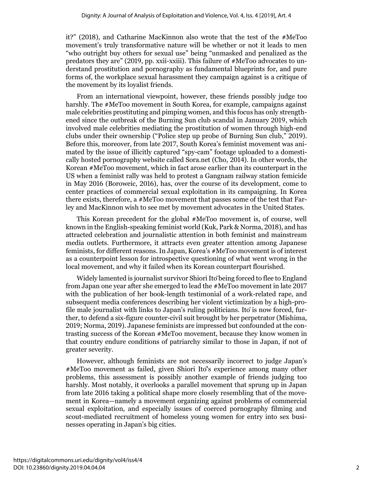it?" (2018), and Catharine MacKinnon also wrote that the test of the #MeToo movement's truly transformative nature will be whether or not it leads to men "who outright buy others for sexual use" being "unmasked and penalized as the predators they are" (2019, pp. xxii-xxiii). This failure of #MeToo advocates to understand prostitution and pornography as fundamental blueprints for, and pure forms of, the workplace sexual harassment they campaign against is a critique of the movement by its loyalist friends.

From an international viewpoint, however, these friends possibly judge too harshly. The #MeToo movement in South Korea, for example, campaigns against male celebrities prostituting and pimping women, and this focus has only strengthened since the outbreak of the Burning Sun club scandal in January 2019, which involved male celebrities mediating the prostitution of women through high-end clubs under their ownership ("Police step up probe of Burning Sun club," 2019). Before this, moreover, from late 2017, South Korea's feminist movement was animated by the issue of illicitly captured "spy-cam" footage uploaded to a domestically hosted pornography website called Sora.net (Cho, 2014). In other words, the Korean #MeToo movement, which in fact arose earlier than its counterpart in the US when a feminist rally was held to protest a Gangnam railway station femicide in May 2016 (Boroweic, 2016), has, over the course of its development, come to center practices of commercial sexual exploitation in its campaigning. In Korea there exists, therefore, a #MeToo movement that passes some of the test that Farley and MacKinnon wish to see met by movement advocates in the United States.

This Korean precedent for the global #MeToo movement is, of course, well known in the English-speaking feminist world (Kuk, Park & Norma, 2018), and has attracted celebration and journalistic attention in both feminist and mainstream media outlets. Furthermore, it attracts even greater attention among Japanese feminists, for different reasons. In Japan, Korea's #MeToo movement is of interest as a counterpoint lesson for introspective questioning of what went wrong in the local movement, and why it failed when its Korean counterpart flourished.

Widely lamented is journalist survivor Shiori Itōbeing forced to flee to England from Japan one year after she emerged to lead the #MeToo movement in late 2017 with the publication of her book-length testimonial of a work-related rape, and subsequent media conferences describing her violent victimization by a high-profile male journalist with links to Japan's ruling politicians. Itōis now forced, further, to defend a six-figure counter-civil suit brought by her perpetrator (Mishima, 2019; Norma, 2019). Japanese feminists are impressed but confounded at the contrasting success of the Korean #MeToo movement, because they know women in that country endure conditions of patriarchy similar to those in Japan, if not of greater severity.

However, although feminists are not necessarily incorrect to judge Japan's #MeToo movement as failed, given Shiori Itō's experience among many other problems, this assessment is possibly another example of friends judging too harshly. Most notably, it overlooks a parallel movement that sprung up in Japan from late 2016 taking a political shape more closely resembling that of the movement in Korea—namely a movement organizing against problems of commercial sexual exploitation, and especially issues of coerced pornography filming and scout-mediated recruitment of homeless young women for entry into sex businesses operating in Japan's big cities.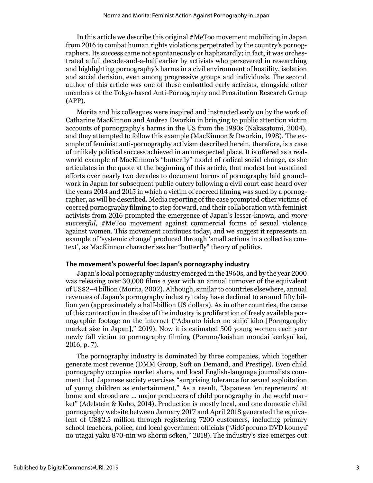In this article we describe this original #MeToo movement mobilizing in Japan from 2016 to combat human rights violations perpetrated by the country's pornographers. Its success came not spontaneously or haphazardly; in fact, it was orchestrated a full decade-and-a-half earlier by activists who persevered in researching and highlighting pornography's harms in a civil environment of hostility, isolation and social derision, even among progressive groups and individuals. The second author of this article was one of these embattled early activists, alongside other members of the Tokyo-based Anti-Pornography and Prostitution Research Group (APP).

Morita and his colleagues were inspired and instructed early on by the work of Catharine MacKinnon and Andrea Dworkin in bringing to public attention victim accounts of pornography's harms in the US from the 1980s (Nakasatomi, 2004), and they attempted to follow this example (MacKinnon & Dworkin, 1998). The example of feminist anti-pornography activism described herein, therefore, is a case of unlikely political success achieved in an unexpected place. It is offered as a realworld example of MacKinnon's "butterfly" model of radical social change, as she articulates in the quote at the beginning of this article, that modest but sustained efforts over nearly two decades to document harms of pornography laid groundwork in Japan for subsequent public outcry following a civil court case heard over the years 2014 and 2015 in which a victim of coerced filming was sued by a pornographer, as will be described. Media reporting of the case prompted other victims of coerced pornography filming to step forward, and their collaboration with feminist activists from 2016 prompted the emergence of Japan's lesser-known, and *more successful*, #MeToo movement against commercial forms of sexual violence against women. This movement continues today, and we suggest it represents an example of 'systemic change' produced through 'small actions in a collective context', as MacKinnon characterizes her "butterfly" theory of politics.

#### **The movement's powerful foe: Japan's pornography industry**

Japan's local pornography industry emerged in the 1960s, and by the year 2000 was releasing over 30,000 films a year with an annual turnover of the equivalent of US\$2–4 billion (Morita, 2002). Although, similar to countries elsewhere, annual revenues of Japan's pornography industry today have declined to around fifty billion yen (approximately a half-billion US dollars). As in other countries, the cause of this contraction in the size of the industry is proliferation of freely available pornographic footage on the internet ("Adaruto bideo no shijōkibo [Pornography market size in Japan]," 2019). Now it is estimated 500 young women each year newly fall victim to pornography filming (Poruno/kaishun mondai kenkyūkai, 2016, p. 7).

The pornography industry is dominated by three companies, which together generate most revenue (DMM Group, Soft on Demand, and Prestige). Even child pornography occupies market share, and local English-language journalists comment that Japanese society exercises "surprising tolerance for sexual exploitation of young children as entertainment." As a result, "Japanese 'entrepreneurs' at home and abroad are … major producers of child pornography in the world market" (Adelstein & Kubo, 2014). Production is mostly local, and one domestic child pornography website between January 2017 and April 2018 generated the equivalent of US\$2.5 million through registering 7200 customers, including primary school teachers, police, and local government officials ("Jidōporuno DVD kounyū no utagai yaku 870-nin wo shorui sōken," 2018). The industry's size emerges out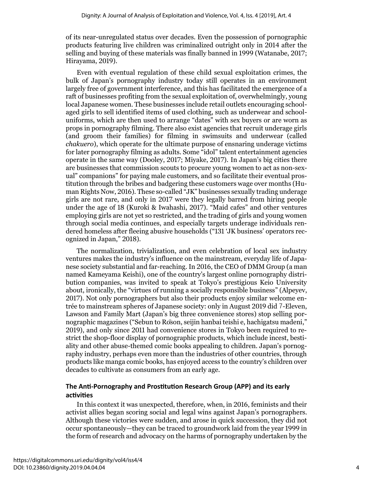of its near-unregulated status over decades. Even the possession of pornographic products featuring live children was criminalized outright only in 2014 after the selling and buying of these materials was finally banned in 1999 (Watanabe, 2017; Hirayama, 2019).

Even with eventual regulation of these child sexual exploitation crimes, the bulk of Japan's pornography industry today still operates in an environment largely free of government interference, and this has facilitated the emergence of a raft of businesses profiting from the sexual exploitation of, overwhelmingly, young local Japanese women. These businesses include retail outlets encouraging schoolaged girls to sell identified items of used clothing, such as underwear and schooluniforms, which are then used to arrange "dates" with sex buyers or are worn as props in pornography filming. There also exist agencies that recruit underage girls (and groom their families) for filming in swimsuits and underwear (called *chakuero*), which operate for the ultimate purpose of ensnaring underage victims for later pornography filming as adults. Some "idol" talent entertainment agencies operate in the same way (Dooley, 2017; Miyake, 2017). In Japan's big cities there are businesses that commission scouts to procure young women to act as non-sexual" companions" for paying male customers, and so facilitate their eventual prostitution through the bribes and badgering these customers wage over months (Human Rights Now, 2016). These so-called "JK" businesses sexually trading underage girls are not rare, and only in 2017 were they legally barred from hiring people under the age of 18 (Kuroki & Iwahashi, 2017). "Maid cafes" and other ventures employing girls are not yet so restricted, and the trading of girls and young women through social media continues, and especially targets underage individuals rendered homeless after fleeing abusive households ("131 'JK business' operators recognized in Japan," 2018).

The normalization, trivialization, and even celebration of local sex industry ventures makes the industry's influence on the mainstream, everyday life of Japanese society substantial and far-reaching. In 2016, the CEO of DMM Group (a man named Kameyama Keishi), one of the country's largest online pornography distribution companies, was invited to speak at Tokyo's prestigious Keio University about, ironically, the "virtues of running a socially responsible business" (Alpeyev, 2017). Not only pornographers but also their products enjoy similar welcome entrée to mainstream spheres of Japanese society: only in August 2019 did 7-Eleven, Lawson and Family Mart (Japan's big three convenience stores) stop selling pornographic magazines ("Sebun to Rōson, seijin hanbai teishi e, hachigatsu madeni," 2019), and only since 2011 had convenience stores in Tokyo been required to restrict the shop-floor display of pornographic products, which include incest, bestiality and other abuse-themed comic books appealing to children. Japan's pornography industry, perhaps even more than the industries of other countries, through products like manga comic books, has enjoyed access to the country's children over decades to cultivate as consumers from an early age.

# **The Anti-Pornography and Prostitution Research Group (APP) and its early activities**

In this context it was unexpected, therefore, when, in 2016, feminists and their activist allies began scoring social and legal wins against Japan's pornographers. Although these victories were sudden, and arose in quick succession, they did not occur spontaneously—they can be traced to groundwork laid from the year 1999 in the form of research and advocacy on the harms of pornography undertaken by the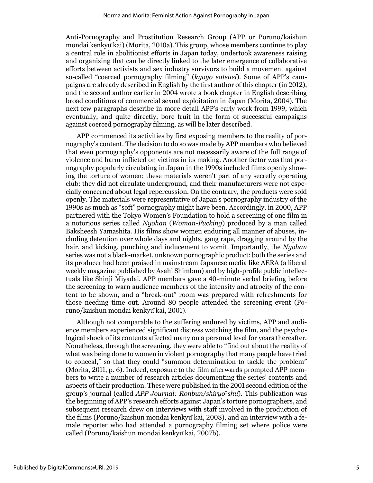Anti-Pornography and Prostitution Research Group (APP or Poruno/kaishun mondai kenkyūkai) (Morita, 2010a).This group, whose members continue to play a central role in abolitionist efforts in Japan today, undertook awareness raising and organizing that can be directly linked to the later emergence of collaborative efforts between activists and sex industry survivors to build a movement against so-called "coerced pornography filming" (*kyōyō satsuei*). Some of APP's campaigns are already described in English by the first author of this chapter (in 2012), and the second author earlier in 2004 wrote a book chapter in English describing broad conditions of commercial sexual exploitation in Japan (Morita, 2004). The next few paragraphs describe in more detail APP's early work from 1999, which eventually, and quite directly, bore fruit in the form of successful campaigns against coerced pornography filming, as will be later described.

APP commenced its activities by first exposing members to the reality of pornography's content. The decision to do so was made by APP members who believed that even pornography's opponents are not necessarily aware of the full range of violence and harm inflicted on victims in its making. Another factor was that pornography popularly circulating in Japan in the 1990s included films openly showing the torture of women; these materials weren't part of any secretly operating club: they did not circulate underground, and their manufacturers were not especially concerned about legal repercussion. On the contrary, the products were sold openly. The materials were representative of Japan's pornography industry of the 1990s as much as "soft" pornography might have been. Accordingly, in 2000, APP partnered with the Tokyo Women's Foundation to hold a screening of one film in a notorious series called *Nyohan* (*Woman-Fucking*) produced by a man called Baksheesh Yamashita. His films show women enduring all manner of abuses, including detention over whole days and nights, gang rape, dragging around by the hair, and kicking, punching and inducement to vomit. Importantly, the *Nyohan* series was not a black-market, unknown pornographic product: both the series and its producer had been praised in mainstream Japanese media like AERA (a liberal weekly magazine published by Asahi Shimbun) and by high-profile public intellectuals like Shinji Miyadai. APP members gave a 40-minute verbal briefing before the screening to warn audience members of the intensity and atrocity of the content to be shown, and a "break-out" room was prepared with refreshments for those needing time out. Around 80 people attended the screening event (Poruno/kaishun mondai kenkyūkai, 2001).

Although not comparable to the suffering endured by victims, APP and audience members experienced significant distress watching the film, and the psychological shock of its contents affected many on a personal level for years thereafter. Nonetheless, through the screening, they were able to "find out about the reality of what was being done to women in violent pornography that many people have tried to conceal," so that they could "summon determination to tackle the problem" (Morita, 2011, p. 6). Indeed, exposure to the film afterwards prompted APP members to write a number of research articles documenting the series' contents and aspects of their production. These were published in the 2001 second edition of the group's journal (called *APP Journal: Ronbun/shiryō-shū*). This publication was the beginning of APP's research efforts against Japan's torture pornographers, and subsequent research drew on interviews with staff involved in the production of the films (Poruno/kaishun mondai kenkyūkai, 2008), and an interview with a female reporter who had attended a pornography filming set where police were called (Poruno/kaishun mondai kenkyūkai, 2007b).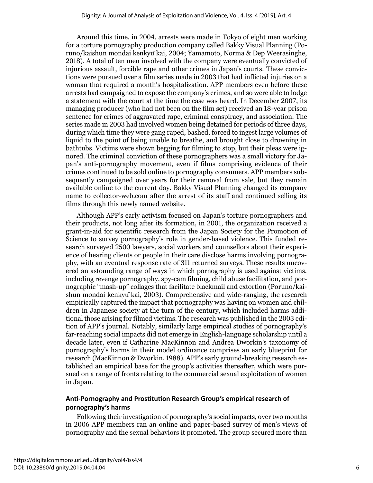Around this time, in 2004, arrests were made in Tokyo of eight men working for a torture pornography production company called Bakky Visual Planning (Poruno/kaishun mondai kenkyūkai, 2004; Yamamoto, Norma & Dep Weerasinghe, 2018). A total of ten men involved with the company were eventually convicted of injurious assault, forcible rape and other crimes in Japan's courts. These convictions were pursued over a film series made in 2003 that had inflicted injuries on a woman that required a month's hospitalization. APP members even before these arrests had campaigned to expose the company's crimes, and so were able to lodge a statement with the court at the time the case was heard. In December 2007, its managing producer (who had not been on the film set) received an 18-year prison sentence for crimes of aggravated rape, criminal conspiracy, and association. The series made in 2003 had involved women being detained for periods of three days, during which time they were gang raped, bashed, forced to ingest large volumes of liquid to the point of being unable to breathe, and brought close to drowning in bathtubs. Victims were shown begging for filming to stop, but their pleas were ignored. The criminal conviction of these pornographers was a small victory for Japan's anti-pornography movement, even if films comprising evidence of their crimes continued to be sold online to pornography consumers. APP members subsequently campaigned over years for their removal from sale, but they remain available online to the current day. Bakky Visual Planning changed its company name to collector-web.com after the arrest of its staff and continued selling its films through this newly named website.

Although APP's early activism focused on Japan's torture pornographers and their products, not long after its formation, in 2001, the organization received a grant-in-aid for scientific research from the Japan Society for the Promotion of Science to survey pornography's role in gender-based violence. This funded research surveyed 2500 lawyers, social workers and counsellors about their experience of hearing clients or people in their care disclose harms involving pornography, with an eventual response rate of 311 returned surveys. These results uncovered an astounding range of ways in which pornography is used against victims, including revenge pornography, spy-cam filming, child abuse facilitation, and pornographic "mash-up" collages that facilitate blackmail and extortion (Poruno/kaishun mondai kenkyūkai, 2003). Comprehensive and wide-ranging, the research empirically captured the impact that pornography was having on women and children in Japanese society at the turn of the century, which included harms additional those arising for filmed victims. The research was published in the 2003 edition of APP's journal. Notably, similarly large empirical studies of pornography's far-reaching social impacts did not emerge in English-language scholarship until a decade later, even if Catharine MacKinnon and Andrea Dworkin's taxonomy of pornography's harms in their model ordinance comprises an early blueprint for research (MacKinnon & Dworkin, 1988). APP's early ground-breaking research established an empirical base for the group's activities thereafter, which were pursued on a range of fronts relating to the commercial sexual exploitation of women in Japan.

# **Anti-Pornography and Prostitution Research Group's empirical research of pornography's harms**

Following their investigation of pornography's social impacts, over two months in 2006 APP members ran an online and paper-based survey of men's views of pornography and the sexual behaviors it promoted. The group secured more than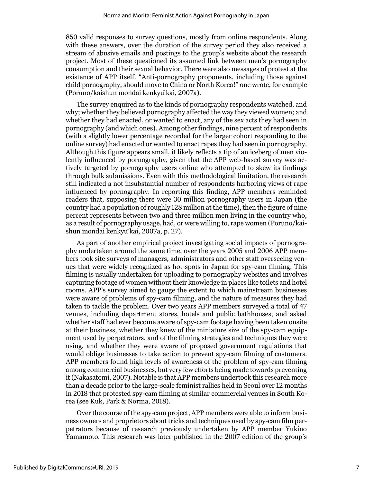850 valid responses to survey questions, mostly from online respondents. Along with these answers, over the duration of the survey period they also received a stream of abusive emails and postings to the group's website about the research project. Most of these questioned its assumed link between men's pornography consumption and their sexual behavior. There were also messages of protest at the existence of APP itself. "Anti-pornography proponents, including those against child pornography, should move to China or North Korea!" one wrote, for example (Poruno/kaishun mondai kenkyūkai, 2007a).

The survey enquired as to the kinds of pornography respondents watched, and why; whether they believed pornography affected the way they viewed women; and whether they had enacted, or wanted to enact, any of the sex acts they had seen in pornography (and which ones). Among other findings, nine percent of respondents (with a slightly lower percentage recorded for the larger cohort responding to the online survey) had enacted or wanted to enact rapes they had seen in pornography. Although this figure appears small, it likely reflects a tip of an iceberg of men violently influenced by pornography, given that the APP web-based survey was actively targeted by pornography users online who attempted to skew its findings through bulk submissions. Even with this methodological limitation, the research still indicated a not insubstantial number of respondents harboring views of rape influenced by pornography. In reporting this finding, APP members reminded readers that, supposing there were 30 million pornography users in Japan (the country had a population of roughly 128 million at the time), then the figure of nine percent represents between two and three million men living in the country who, as a result of pornography usage, had, or were willing to, rape women (Poruno/kaishun mondai kenkyūkai, 2007a, p. 27).

As part of another empirical project investigating social impacts of pornography undertaken around the same time, over the years 2005 and 2006 APP members took site surveys of managers, administrators and other staff overseeing venues that were widely recognized as hot-spots in Japan for spy-cam filming. This filming is usually undertaken for uploading to pornography websites and involves capturing footage of women without their knowledge in places like toilets and hotel rooms. APP's survey aimed to gauge the extent to which mainstream businesses were aware of problems of spy-cam filming, and the nature of measures they had taken to tackle the problem. Over two years APP members surveyed a total of 47 venues, including department stores, hotels and public bathhouses, and asked whether staff had ever become aware of spy-cam footage having been taken onsite at their business, whether they knew of the miniature size of the spy-cam equipment used by perpetrators, and of the filming strategies and techniques they were using, and whether they were aware of proposed government regulations that would oblige businesses to take action to prevent spy-cam filming of customers. APP members found high levels of awareness of the problem of spy-cam filming among commercial businesses, but very few efforts being made towards preventing it (Nakasatomi, 2007). Notable is that APP members undertook this research more than a decade prior to the large-scale feminist rallies held in Seoul over 12 months in 2018 that protested spy-cam filming at similar commercial venues in South Korea (see Kuk, Park & Norma, 2018).

Over the course of the spy-cam project, APP members were able to inform business owners and proprietors about tricks and techniques used by spy-cam film perpetrators because of research previously undertaken by APP member Yukino Yamamoto. This research was later published in the 2007 edition of the group's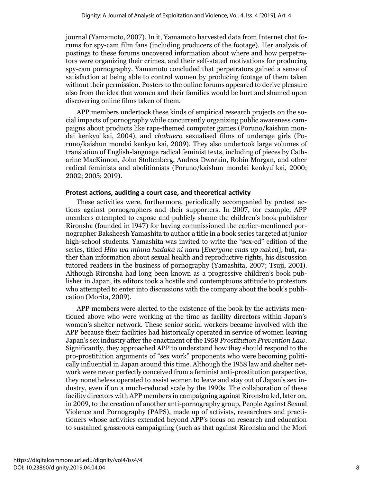journal (Yamamoto, 2007). In it, Yamamoto harvested data from Internet chat forums for spy-cam film fans (including producers of the footage). Her analysis of postings to these forums uncovered information about where and how perpetrators were organizing their crimes, and their self-stated motivations for producing spy-cam pornography. Yamamoto concluded that perpetrators gained a sense of satisfaction at being able to control women by producing footage of them taken without their permission. Posters to the online forums appeared to derive pleasure also from the idea that women and their families would be hurt and shamed upon discovering online films taken of them.

APP members undertook these kinds of empirical research projects on the social impacts of pornography while concurrently organizing public awareness campaigns about products like rape-themed computer games (Poruno/kaishun mondai kenkyū kai, 2004), and *chakuero* sexualised films of underage girls (Poruno/kaishun mondai kenkyūkai, 2009). They also undertook large volumes of translation of English-language radical feminist texts, including of pieces by Catharine MacKinnon, John Stoltenberg, Andrea Dworkin, Robin Morgan, and other radical feminists and abolitionists (Poruno/kaishun mondai kenkyūkai, 2000; 2002; 2005; 2019).

#### **Protest actions, auditing a court case, and theoretical activity**

These activities were, furthermore, periodically accompanied by protest actions against pornographers and their supporters. In 2007, for example, APP members attempted to expose and publicly shame the children's book publisher Rironsha (founded in 1947) for having commissioned the earlier-mentioned pornographer Baksheesh Yamashita to author a title in a book series targeted at junior high-school students. Yamashita was invited to write the "sex-ed" edition of the series, titled *Hito wa minna hadaka ni naru* [*Everyone ends up naked*], but, rather than information about sexual health and reproductive rights, his discussion tutored readers in the business of pornography (Yamashita, 2007; Tsuji, 2001). Although Rironsha had long been known as a progressive children's book publisher in Japan, its editors took a hostile and contemptuous attitude to protestors who attempted to enter into discussions with the company about the book's publication (Morita, 2009).

APP members were alerted to the existence of the book by the activists mentioned above who were working at the time as facility directors within Japan's women's shelter network. These senior social workers became involved with the APP because their facilities had historically operated in service of women leaving Japan's sex industry after the enactment of the 1958 *Prostitution Prevention Law*. Significantly, they approached APP to understand how they should respond to the pro-prostitution arguments of "sex work" proponents who were becoming politically influential in Japan around this time. Although the 1958 law and shelter network were never perfectly conceived from a feminist anti-prostitution perspective, they nonetheless operated to assist women to leave and stay out of Japan's sex industry, even if on a much-reduced scale by the 1990s. The collaboration of these facility directors with APP members in campaigning against Rironsha led, later on, in 2009, to the creation of another anti-pornography group, People Against Sexual Violence and Pornography (PAPS), made up of activists, researchers and practitioners whose activities extended beyond APP's focus on research and education to sustained grassroots campaigning (such as that against Rironsha and the Mori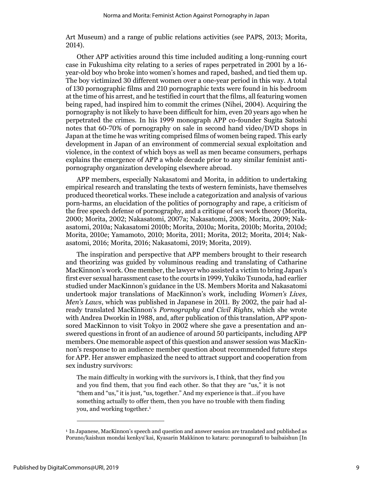Art Museum) and a range of public relations activities (see PAPS, 2013; Morita, 2014).

Other APP activities around this time included auditing a long-running court case in Fukushima city relating to a series of rapes perpetrated in 2001 by a 16 year-old boy who broke into women's homes and raped, bashed, and tied them up. The boy victimized 30 different women over a one-year period in this way. A total of 130 pornographic films and 210 pornographic texts were found in his bedroom at the time of his arrest, and he testified in court that the films, all featuring women being raped, had inspired him to commit the crimes (Nihei, 2004). Acquiring the pornography is not likely to have been difficult for him, even 20 years ago when he perpetrated the crimes. In his 1999 monograph APP co-founder Sugita Satoshi notes that 60-70% of pornography on sale in second hand video/DVD shops in Japan at the time he was writing comprised films of women being raped. This early development in Japan of an environment of commercial sexual exploitation and violence, in the context of which boys as well as men became consumers, perhaps explains the emergence of APP a whole decade prior to any similar feminist antipornography organization developing elsewhere abroad.

APP members, especially Nakasatomi and Morita, in addition to undertaking empirical research and translating the texts of western feminists, have themselves produced theoretical works. These include a categorization and analysis of various porn-harms, an elucidation of the politics of pornography and rape, a criticism of the free speech defense of pornography, and a critique of sex work theory (Morita, 2000; Morita, 2002; Nakasatomi, 2007a; Nakasatomi, 2008; Morita, 2009; Nakasatomi, 2010a; Nakasatomi 2010b; Morita, 2010a; Morita, 2010b; Morita, 2010d; Morita, 2010e; Yamamoto, 2010; Morita, 2011; Morita, 2012; Morita, 2014; Nakasatomi, 2016; Morita, 2016; Nakasatomi, 2019; Morita, 2019).

The inspiration and perspective that APP members brought to their research and theorizing was guided by voluminous reading and translating of Catharine MacKinnon's work. One member, the lawyer who assisted a victim to bring Japan's first ever sexual harassment case to the courts in 1999, Yukiko Tsunoda, had earlier studied under MacKinnon's guidance in the US. Members Morita and Nakasatomi undertook major translations of MacKinnon's work, including *Women's Lives, Men's Laws*, which was published in Japanese in 2011. By 2002, the pair had already translated MacKinnon's *Pornography and Civil Rights*, which she wrote with Andrea Dworkin in 1988, and, after publication of this translation, APP sponsored MacKinnon to visit Tokyo in 2002 where she gave a presentation and answered questions in front of an audience of around 50 participants, including APP members. One memorable aspect of this question and answer session was MacKinnon's response to an audience member question about recommended future steps for APP. Her answer emphasized the need to attract support and cooperation from sex industry survivors:

The main difficulty in working with the survivors is, I think, that they find you and you find them, that you find each other. So that they are "us," it is not "them and "us," it is just, "us, together." And my experience is that…if you have something actually to offer them, then you have no trouble with them finding you, and working together. 1

<sup>1</sup> In Japanese, MacKinnon's speech and question and answer session are translated and published as Poruno/kaishun mondai kenkyūkai, Kyasarin Makkinon to kataru: porunogurafi to baibaishun [In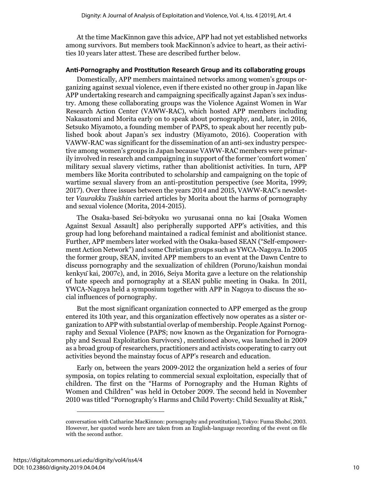At the time MacKinnon gave this advice, APP had not yet established networks among survivors. But members took MacKinnon's advice to heart, as their activities 10 years later attest. These are described further below.

#### **Anti-Pornography and Prostitution Research Group and its collaborating groups**

Domestically, APP members maintained networks among women's groups organizing against sexual violence, even if there existed no other group in Japan like APP undertaking research and campaigning specifically against Japan's sex industry. Among these collaborating groups was the Violence Against Women in War Research Action Center (VAWW-RAC), which hosted APP members including Nakasatomi and Morita early on to speak about pornography, and, later, in 2016, Setsuko Miyamoto, a founding member of PAPS, to speak about her recently published book about Japan's sex industry (Miyamoto, 2016). Cooperation with VAWW-RAC was significant for the dissemination of an anti-sex industry perspective among women's groups in Japan because VAWW-RAC members were primarily involved in research and campaigning in support of the former 'comfort women' military sexual slavery victims, rather than abolitionist activities. In turn, APP members like Morita contributed to scholarship and campaigning on the topic of wartime sexual slavery from an anti-prostitution perspective (see Morita, 1999; 2017). Over three issues between the years 2014 and 2015, VAWW-RAC's newsletter *Vaurakku Tsūshin* carried articles by Morita about the harms of pornography and sexual violence (Morita, 2014-2015).

The Osaka-based Sei-bōryoku wo yurusanai onna no kai [Osaka Women Against Sexual Assault] also peripherally supported APP's activities, and this group had long beforehand maintained a radical feminist and abolitionist stance. Further, APP members later worked with the Osaka-based SEAN ("Self-empowerment Action Network") and some Christian groups such as YWCA-Nagoya. In 2005 the former group, SEAN, invited APP members to an event at the Dawn Centre to discuss pornography and the sexualization of children (Poruno/kaishun mondai kenkyūkai, 2007c), and, in 2016, Seiya Morita gave a lecture on the relationship of hate speech and pornography at a SEAN public meeting in Osaka. In 2011, YWCA-Nagoya held a symposium together with APP in Nagoya to discuss the social influences of pornography.

But the most significant organization connected to APP emerged as the group entered its 10th year, and this organization effectively now operates as a sister organization to APP with substantial overlap of membership. People Against Pornography and Sexual Violence (PAPS; now known as the Organization for Pornography and Sexual Exploitation Survivors) , mentioned above, was launched in 2009 as a broad group of researchers, practitioners and activists cooperating to carry out activities beyond the mainstay focus of APP's research and education.

Early on, between the years 2009-2012 the organization held a series of four symposia, on topics relating to commercial sexual exploitation, especially that of children. The first on the "Harms of Pornography and the Human Rights of Women and Children" was held in October 2009. The second held in November 2010 was titled "Pornography's Harms and Child Poverty: Child Sexuality at Risk,"

conversation with Catharine MacKinnon: pornography and prostitution], Tokyo: Fuma Shobō, 2003. However, her quoted words here are taken from an English-language recording of the event on file with the second author.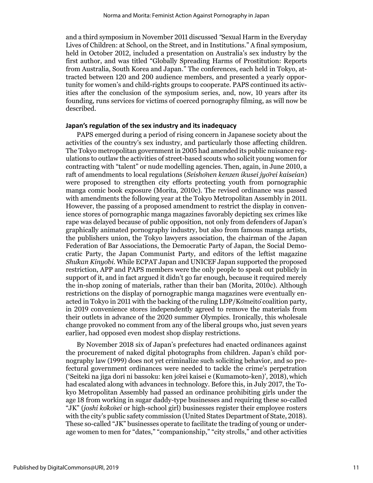and a third symposium in November 2011 discussed *"*Sexual Harm in the Everyday Lives of Children: at School, on the Street, and in Institutions." A final symposium, held in October 2012, included a presentation on Australia's sex industry by the first author, and was titled "Globally Spreading Harms of Prostitution: Reports from Australia, South Korea and Japan." The conferences, each held in Tokyo, attracted between 120 and 200 audience members, and presented a yearly opportunity for women's and child-rights groups to cooperate. PAPS continued its activities after the conclusion of the symposium series, and, now, 10 years after its founding, runs services for victims of coerced pornography filming, as will now be described.

#### **Japan's regulation of the sex industry and its inadequacy**

PAPS emerged during a period of rising concern in Japanese society about the activities of the country's sex industry, and particularly those affecting children. The Tokyo metropolitan government in 2005 had amended its public nuisance regulations to outlaw the activities of street-based scouts who solicit young women for contracting with "talent" or nude modelling agencies. Then, again, in June 2010, a raft of amendments to local regulations (*Seishōnen kenzen ikusei jyōrei kaiseian*) were proposed to strengthen city efforts protecting youth from pornographic manga comic book exposure (Morita, 2010c). The revised ordinance was passed with amendments the following year at the Tokyo Metropolitan Assembly in 2011. However, the passing of a proposed amendment to restrict the display in convenience stores of pornographic manga magazines favorably depicting sex crimes like rape was delayed because of public opposition, not only from defenders of Japan's graphically animated pornography industry, but also from famous manga artists, the publishers union, the Tokyo lawyers association, the chairman of the Japan Federation of Bar Associations, the Democratic Party of Japan, the Social Democratic Party, the Japan Communist Party, and editors of the leftist magazine *Shūkan Kinyōbi*. While ECPAT Japan and UNICEF Japan supported the proposed restriction, APP and PAPS members were the only people to speak out publicly in support of it, and in fact argued it didn't go far enough, because it required merely the in-shop zoning of materials, rather than their ban (Morita, 2010c). Although restrictions on the display of pornographic manga magazines were eventually enacted in Tokyo in 2011 with the backing of the ruling LDP/Kōmeitōcoalition party, in 2019 convenience stores independently agreed to remove the materials from their outlets in advance of the 2020 summer Olympics. Ironically, this wholesale change provoked no comment from any of the liberal groups who, just seven years earlier, had opposed even modest shop display restrictions.

By November 2018 six of Japan's prefectures had enacted ordinances against the procurement of naked digital photographs from children. Japan's child pornography law (1999) does not yet criminalize such soliciting behavior, and so prefectural government ordinances were needed to tackle the crime's perpetration ('Seiteki na jiga dori ni bassoku: ken jōrei kaisei e (Kumamoto-ken)', 2018), which had escalated along with advances in technology. Before this, in July 2017, the Tokyo Metropolitan Assembly had passed an ordinance prohibiting girls under the age 18 from working in sugar daddy-type businesses and requiring these so-called "JK" (*joshi kōkōsei* or high-school girl) businesses register their employee rosters with the city's public safety commission (United States Department of State, 2018). These so-called "JK" businesses operate to facilitate the trading of young or underage women to men for "dates," "companionship," "city strolls," and other activities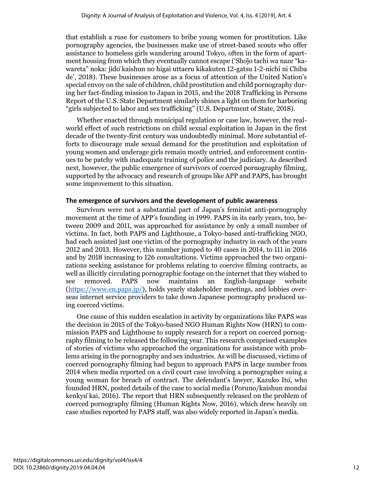that establish a ruse for customers to bribe young women for prostitution. Like pornography agencies, the businesses make use of street-based scouts who offer assistance to homeless girls wandering around Tokyo, often in the form of apartment housing from which they eventually cannot escape ('Shōjo tachi wa naze "kawareta" noka: jidōkaishun no higai uttaeru kikakuten 12-gatsu 1-2-nichi ni Chiba de', 2018). These businesses arose as a focus of attention of the United Nation's special envoy on the sale of children, child prostitution and child pornography during her fact-finding mission to Japan in 2015, and the 2018 Trafficking in Persons Report of the U.S. State Department similarly shines a light on them for harboring "girls subjected to labor and sex trafficking" (U.S. Department of State, 2018).

Whether enacted through municipal regulation or case law, however, the realworld effect of such restrictions on child sexual exploitation in Japan in the first decade of the twenty-first century was undoubtedly minimal. More substantial efforts to discourage male sexual demand for the prostitution and exploitation of young women and underage girls remain mostly untried, and enforcement continues to be patchy with inadequate training of police and the judiciary. As described next, however, the public emergence of survivors of coerced pornography filming, supported by the advocacy and research of groups like APP and PAPS, has brought some improvement to this situation.

#### **The emergence of survivors and the development of public awareness**

Survivors were not a substantial part of Japan's feminist anti-pornography movement at the time of APP's founding in 1999. PAPS in its early years, too, between 2009 and 2011, was approached for assistance by only a small number of victims. In fact, both PAPS and Lighthouse, a Tokyo-based anti-trafficking NGO, had each assisted just one victim of the pornography industry in each of the years 2012 and 2013. However, this number jumped to 40 cases in 2014, to 111 in 2016 and by 2018 increasing to 126 consultations. Victims approached the two organizations seeking assistance for problems relating to coercive filming contracts, as well as illicitly circulating pornographic footage on the internet that they wished to see removed. PAPS now maintains an English-language website [\(https://www.en.paps.jp/\)](https://www.en.paps.jp/), holds yearly stakeholder meetings, and lobbies overseas internet service providers to take down Japanese pornography produced using coerced victims.

One cause of this sudden escalation in activity by organizations like PAPS was the decision in 2015 of the Tokyo-based NGO Human Rights Now (HRN) to commission PAPS and Lighthouse to supply research for a report on coerced pornography filming to be released the following year. This research comprised examples of stories of victims who approached the organizations for assistance with problems arising in the pornography and sex industries. As will be discussed, victims of coerced pornography filming had begun to approach PAPS in large number from 2014 when media reported on a civil court case involving a pornographer suing a young woman for breach of contract. The defendant's lawyer, Kazuko Itō, who founded HRN, posted details of the case to social media (Poruno/kaishun mondai kenkyūkai, 2016). The report that HRN subsequently released on the problem of coerced pornography filming (Human Rights Now, 2016), which drew heavily on case studies reported by PAPS staff, was also widely reported in Japan's media.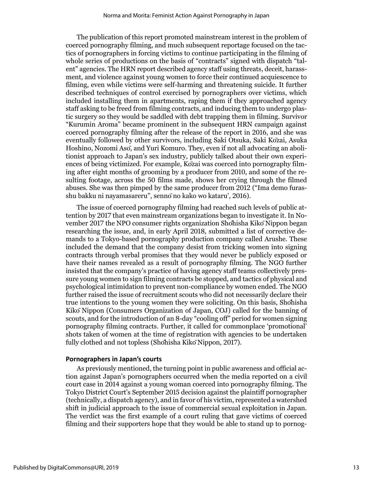The publication of this report promoted mainstream interest in the problem of coerced pornography filming, and much subsequent reportage focused on the tactics of pornographers in forcing victims to continue participating in the filming of whole series of productions on the basis of "contracts" signed with dispatch "talent" agencies. The HRN report described agency staff using threats, deceit, harassment, and violence against young women to force their continued acquiescence to filming, even while victims were self-harming and threatening suicide. It further described techniques of control exercised by pornographers over victims, which included installing them in apartments, raping them if they approached agency staff asking to be freed from filming contracts, and inducing them to undergo plastic surgery so they would be saddled with debt trapping them in filming. Survivor "Kurumin Aroma" became prominent in the subsequent HRN campaign against coerced pornography filming after the release of the report in 2016, and she was eventually followed by other survivors, including Saki Otsuka, Saki Kōzai, Asuka Hoshino, Nozomi Asō, and Yuri Komuro. They, even if not all advocating an abolitionist approach to Japan's sex industry, publicly talked about their own experiences of being victimized. For example, Kōzai was coerced into pornography filming after eight months of grooming by a producer from 2010, and some of the resulting footage, across the 50 films made, shows her crying through the filmed abuses. She was then pimped by the same producer from 2012 ("Ima demo furasshu bakku ni nayamasareru", sennōno kako wo kataru', 2016).

The issue of coerced pornography filming had reached such levels of public attention by 2017 that even mainstream organizations began to investigate it. In November 2017 the NPO consumer rights organization Shōhisha KikōNippon began researching the issue, and, in early April 2018, submitted a list of corrective demands to a Tokyo-based pornography production company called Arushe. These included the demand that the company desist from tricking women into signing contracts through verbal promises that they would never be publicly exposed or have their names revealed as a result of pornography filming. The NGO further insisted that the company's practice of having agency staff teams collectively pressure young women to sign filming contracts be stopped, and tactics of physical and psychological intimidation to prevent non-compliance by women ended. The NGO further raised the issue of recruitment scouts who did not necessarily declare their true intentions to the young women they were soliciting. On this basis, Shōhisha KikōNippon (Consumers Organization of Japan, COJ) called for the banning of scouts, and for the introduction of an 8-day "cooling off" period for women signing pornography filming contracts. Further, it called for commonplace 'promotional' shots taken of women at the time of registration with agencies to be undertaken fully clothed and not topless (Shohisha Kiko Nippon, 2017).

#### **Pornographers in Japan's courts**

As previously mentioned, the turning point in public awareness and official action against Japan's pornographers occurred when the media reported on a civil court case in 2014 against a young woman coerced into pornography filming. The Tokyo District Court's September 2015 decision against the plaintiff pornographer (technically, a dispatch agency), and in favor of his victim, represented a watershed shift in judicial approach to the issue of commercial sexual exploitation in Japan. The verdict was the first example of a court ruling that gave victims of coerced filming and their supporters hope that they would be able to stand up to pornog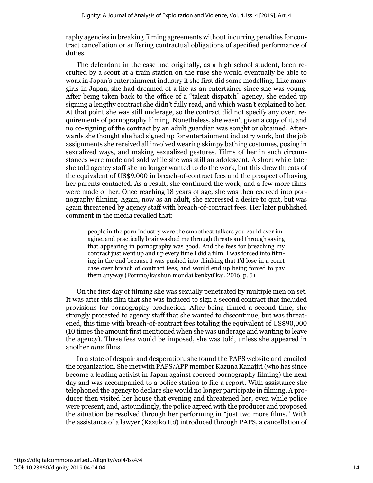raphy agencies in breaking filming agreements without incurring penalties for contract cancellation or suffering contractual obligations of specified performance of duties.

The defendant in the case had originally, as a high school student, been recruited by a scout at a train station on the ruse she would eventually be able to work in Japan's entertainment industry if she first did some modelling. Like many girls in Japan, she had dreamed of a life as an entertainer since she was young. After being taken back to the office of a "talent dispatch" agency, she ended up signing a lengthy contract she didn't fully read, and which wasn't explained to her. At that point she was still underage, so the contract did not specify any overt requirements of pornography filming. Nonetheless, she wasn't given a copy of it, and no co-signing of the contract by an adult guardian was sought or obtained. Afterwards she thought she had signed up for entertainment industry work, but the job assignments she received all involved wearing skimpy bathing costumes, posing in sexualized ways, and making sexualized gestures. Films of her in such circumstances were made and sold while she was still an adolescent. A short while later she told agency staff she no longer wanted to do the work, but this drew threats of the equivalent of US\$9,000 in breach-of-contract fees and the prospect of having her parents contacted. As a result, she continued the work, and a few more films were made of her. Once reaching 18 years of age, she was then coerced into pornography filming. Again, now as an adult, she expressed a desire to quit, but was again threatened by agency staff with breach-of-contract fees. Her later published comment in the media recalled that:

people in the porn industry were the smoothest talkers you could ever imagine, and practically brainwashed me through threats and through saying that appearing in pornography was good. And the fees for breaching my contract just went up and up every time I did a film. I was forced into filming in the end because I was pushed into thinking that I'd lose in a court case over breach of contract fees, and would end up being forced to pay them anyway (Poruno/kaishun mondai kenkyūkai, 2016, p. 5).

On the first day of filming she was sexually penetrated by multiple men on set. It was after this film that she was induced to sign a second contract that included provisions for pornography production. After being filmed a second time, she strongly protested to agency staff that she wanted to discontinue, but was threatened, this time with breach-of-contract fees totaling the equivalent of US\$90,000 (10 times the amount first mentioned when she was underage and wanting to leave the agency). These fees would be imposed, she was told, unless she appeared in another *nine* films.

In a state of despair and desperation, she found the PAPS website and emailed the organization. She met with PAPS/APP member Kazuna Kanajiri (who has since become a leading activist in Japan against coerced pornography filming) the next day and was accompanied to a police station to file a report. With assistance she telephoned the agency to declare she would no longer participate in filming. A producer then visited her house that evening and threatened her, even while police were present, and, astoundingly, the police agreed with the producer and proposed the situation be resolved through her performing in "just two more films." With the assistance of a lawyer (Kazuko Itō) introduced through PAPS, a cancellation of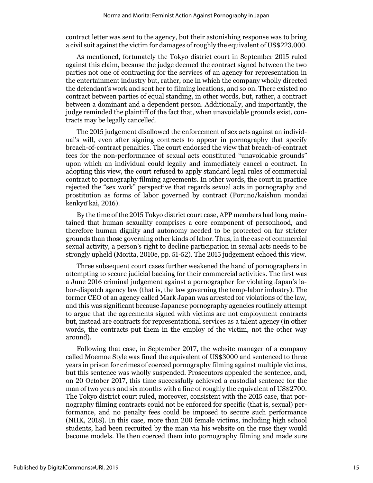contract letter was sent to the agency, but their astonishing response was to bring a civil suit against the victim for damages of roughly the equivalent of US\$223,000.

As mentioned, fortunately the Tokyo district court in September 2015 ruled against this claim, because the judge deemed the contract signed between the two parties not one of contracting for the services of an agency for representation in the entertainment industry but, rather, one in which the company wholly directed the defendant's work and sent her to filming locations, and so on. There existed no contract between parties of equal standing, in other words, but, rather, a contract between a dominant and a dependent person. Additionally, and importantly, the judge reminded the plaintiff of the fact that, when unavoidable grounds exist, contracts may be legally cancelled.

The 2015 judgement disallowed the enforcement of sex acts against an individual's will, even after signing contracts to appear in pornography that specify breach-of-contract penalties. The court endorsed the view that breach-of-contract fees for the non-performance of sexual acts constituted "unavoidable grounds" upon which an individual could legally and immediately cancel a contract. In adopting this view, the court refused to apply standard legal rules of commercial contract to pornography filming agreements. In other words, the court in practice rejected the "sex work" perspective that regards sexual acts in pornography and prostitution as forms of labor governed by contract (Poruno/kaishun mondai kenkyūkai, 2016).

By the time of the 2015 Tokyo district court case, APP members had long maintained that human sexuality comprises a core component of personhood, and therefore human dignity and autonomy needed to be protected on far stricter grounds than those governing other kinds of labor. Thus, in the case of commercial sexual activity, a person's right to decline participation in sexual acts needs to be strongly upheld (Morita, 2010e, pp. 51-52). The 2015 judgement echoed this view.

Three subsequent court cases further weakened the hand of pornographers in attempting to secure judicial backing for their commercial activities. The first was a June 2016 criminal judgement against a pornographer for violating Japan's labor-dispatch agency law (that is, the law governing the temp-labor industry). The former CEO of an agency called Mark Japan was arrested for violations of the law, and this was significant because Japanese pornography agencies routinely attempt to argue that the agreements signed with victims are not employment contracts but, instead are contracts for representational services as a talent agency (in other words, the contracts put them in the employ of the victim, not the other way around).

Following that case, in September 2017, the website manager of a company called Moemoe Style was fined the equivalent of US\$3000 and sentenced to three years in prison for crimes of coerced pornography filming against multiple victims, but this sentence was wholly suspended. Prosecutors appealed the sentence, and, on 20 October 2017, this time successfully achieved a custodial sentence for the man of two years and six months with a fine of roughly the equivalent of US\$2700. The Tokyo district court ruled, moreover, consistent with the 2015 case, that pornography filming contracts could not be enforced for specific (that is, sexual) performance, and no penalty fees could be imposed to secure such performance (NHK, 2018). In this case, more than 200 female victims, including high school students, had been recruited by the man via his website on the ruse they would become models. He then coerced them into pornography filming and made sure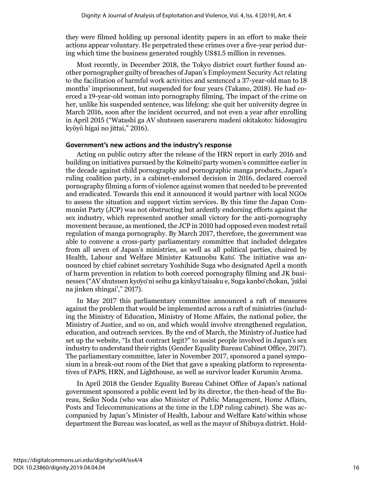they were filmed holding up personal identity papers in an effort to make their actions appear voluntary. He perpetrated these crimes over a five-year period during which time the business generated roughly US\$1.5 million in revenues.

Most recently, in December 2018, the Tokyo district court further found another pornographer guilty of breaches of Japan's Employment Security Act relating to the facilitation of harmful work activities and sentenced a 37-year-old man to 18 months' imprisonment, but suspended for four years (Takano, 2018). He had coerced a 19-year-old woman into pornography filming. The impact of the crime on her, unlike his suspended sentence, was lifelong: she quit her university degree in March 2016, soon after the incident occurred, and not even a year after enrolling in April 2015 ("Watashi ga AV shutsuen saserareru madeni okitakoto: hidosugiru kyōyō higai no jittai," 2016).

## **Government's new actions and the industry's response**

Acting on public outcry after the release of the HRN report in early 2016 and building on initiatives pursued by the Kōmeitōparty women's committee earlier in the decade against child pornography and pornographic manga products, Japan's ruling coalition party, in a cabinet-endorsed decision in 2016, declared coerced pornography filming a form of violence against women that needed to be prevented and eradicated. Towards this end it announced it would partner with local NGOs to assess the situation and support victim services. By this time the Japan Communist Party (JCP) was not obstructing but ardently endorsing efforts against the sex industry, which represented another small victory for the anti-pornography movement because, as mentioned, the JCP in 2010 had opposed even modest retail regulation of manga pornography. By March 2017, therefore, the government was able to convene a cross-party parliamentary committee that included delegates from all seven of Japan's ministries, as well as all political parties, chaired by Health, Labour and Welfare Minister Katsunobu Katō. The initiative was announced by chief cabinet secretary Yoshihide Suga who designated April a month of harm prevention in relation to both coerced pornography filming and JK businesses ("AV shutsuen kyōyōni seihu ga kinkyūtaisaku e, Suga kanbōchōkan, 'jūdai na jinken shingai'," 2017).

In May 2017 this parliamentary committee announced a raft of measures against the problem that would be implemented across a raft of ministries (including the Ministry of Education, Ministry of Home Affairs, the national police, the Ministry of Justice, and so on, and which would involve strengthened regulation, education, and outreach services. By the end of March, the Ministry of Justice had set up the website, "Is that contract legit?" to assist people involved in Japan's sex industry to understand their rights (Gender Equality Bureau Cabinet Office, 2017). The parliamentary committee, later in November 2017, sponsored a panel symposium in a break-out room of the Diet that gave a speaking platform to representatives of PAPS, HRN, and Lighthouse, as well as survivor leader Kurumin Aroma.

In April 2018 the Gender Equality Bureau Cabinet Office of Japan's national government sponsored a public event led by its director, the then-head of the Bureau, Seiko Noda (who was also Minister of Public Management, Home Affairs, Posts and Telecommunications at the time in the LDP ruling cabinet). She was accompanied by Japan's Minister of Health, Labour and Welfare Katōwithin whose department the Bureau was located, as well as the mayor of Shibuya district. Hold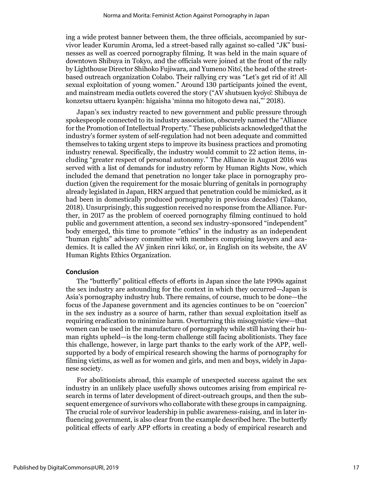ing a wide protest banner between them, the three officials, accompanied by survivor leader Kurumin Aroma, led a street-based rally against so-called "JK" businesses as well as coerced pornography filming. It was held in the main square of downtown Shibuya in Tokyo, and the officials were joined at the front of the rally by Lighthouse Director Shihoko Fujiwara, and Yumeno Nitō, the head of the streetbased outreach organization Colabo. Their rallying cry was "Let's get rid of it! All sexual exploitation of young women." Around 130 participants joined the event, and mainstream media outlets covered the story ("AV shutsuen kyōyō: Shibuya de konzetsu uttaeru kyanpēn: higaisha 'minna mo hitogoto dewa nai,"' 2018).

Japan's sex industry reacted to new government and public pressure through spokespeople connected to its industry association, obscurely named the "Alliance for the Promotion of Intellectual Property." These publicists acknowledged that the industry's former system of self-regulation had not been adequate and committed themselves to taking urgent steps to improve its business practices and promoting industry renewal. Specifically, the industry would commit to 22 action items, including "greater respect of personal autonomy." The Alliance in August 2016 was served with a list of demands for industry reform by Human Rights Now, which included the demand that penetration no longer take place in pornography production (given the requirement for the mosaic blurring of genitals in pornography already legislated in Japan, HRN argued that penetration could be mimicked, as it had been in domestically produced pornography in previous decades) (Takano, 2018). Unsurprisingly, this suggestion received no response from the Alliance. Further, in 2017 as the problem of coerced pornography filming continued to hold public and government attention, a second sex industry-sponsored "independent" body emerged, this time to promote "ethics" in the industry as an independent "human rights" advisory committee with members comprising lawyers and academics. It is called the AV jinken rinri kikō, or, in English on its website, the AV Human Rights Ethics Organization.

#### **Conclusion**

The "butterfly" political effects of efforts in Japan since the late 1990s against the sex industry are astounding for the context in which they occurred—Japan is Asia's pornography industry hub. There remains, of course, much to be done—the focus of the Japanese government and its agencies continues to be on "coercion" in the sex industry as a source of harm, rather than sexual exploitation itself as requiring eradication to minimize harm. Overturning this misogynistic view—that women can be used in the manufacture of pornography while still having their human rights upheld—is the long-term challenge still facing abolitionists. They face this challenge, however, in large part thanks to the early work of the APP, wellsupported by a body of empirical research showing the harms of pornography for filming victims, as well as for women and girls, and men and boys, widely in Japanese society.

For abolitionists abroad, this example of unexpected success against the sex industry in an unlikely place usefully shows outcomes arising from empirical research in terms of later development of direct-outreach groups, and then the subsequent emergence of survivors who collaborate with these groups in campaigning. The crucial role of survivor leadership in public awareness-raising, and in later influencing government, is also clear from the example described here. The butterfly political effects of early APP efforts in creating a body of empirical research and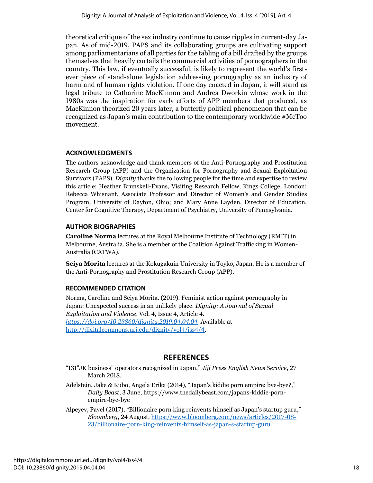theoretical critique of the sex industry continue to cause ripples in current-day Japan. As of mid-2019, PAPS and its collaborating groups are cultivating support among parliamentarians of all parties for the tabling of a bill drafted by the groups themselves that heavily curtails the commercial activities of pornographers in the country. This law, if eventually successful, is likely to represent the world's firstever piece of stand-alone legislation addressing pornography as an industry of harm and of human rights violation. If one day enacted in Japan, it will stand as legal tribute to Catharine MacKinnon and Andrea Dworkin whose work in the 1980s was the inspiration for early efforts of APP members that produced, as MacKinnon theorized 20 years later, a butterfly political phenomenon that can be recognized as Japan's main contribution to the contemporary worldwide #MeToo movement.

# **ACKNOWLEDGMENTS**

The authors acknowledge and thank members of the Anti-Pornography and Prostitution Research Group (APP) and the Organization for Pornography and Sexual Exploitation Survivors (PAPS). *Dignity* thanks the following people for the time and expertise to review this article: Heather Brunskell-Evans, Visiting Research Fellow, Kings College, London; Rebecca Whisnant, Associate Professor and Director of Women's and Gender Studies Program, University of Dayton, Ohio; and Mary Anne Layden, Director of Education, Center for Cognitive Therapy, Department of Psychiatry, University of Pennsylvania.

# **AUTHOR BIOGRAPHIES**

**Caroline Norma** lectures at the Royal Melbourne Institute of Technology (RMIT) in Melbourne, Australia. She is a member of the Coalition Against Trafficking in Women-Australia (CATWA).

**Seiya Morita** lectures at the Kokugakuin University in Toyko, Japan. He is a member of the Anti-Pornography and Prostitution Research Group (APP).

# **RECOMMENDED CITATION**

Norma, Caroline and Seiya Morita. (2019). Feminist action against pornography in Japan: Unexpected success in an unlikely place. *Dignity: A Journal of Sexual Exploitation and Violence*. Vol. 4, Issue 4, Article 4. *<https://doi.org/10.23860/dignity.2019.04.04.04>* Available at [http://digitalcommons.uri.edu/dignity/vol4/iss4/4.](http://digitalcommons.uri.edu/dignity/vol4/iss4/4)

# **REFERENCES**

- "131"JK business" operators recognized in Japan," *Jiji Press English News Service*, 27 March 2018.
- Adelstein, Jake & Kubo, Angela Erika (2014), "Japan's kiddie porn empire: bye-bye?," *Daily Beast*, 3 June[, https://www.thedailybeast.com/japans-kiddie-porn](https://www.thedailybeast.com/japans-kiddie-porn-empire-bye-bye)[empire-bye-bye](https://www.thedailybeast.com/japans-kiddie-porn-empire-bye-bye)
- Alpeyev, Pavel (2017), "Billionaire porn king reinvents himself as Japan's startup guru," *Bloomberg*, 24 August, [https://www.bloomberg.com/news/articles/2017-08-](https://www.bloomberg.com/news/articles/2017-08-23/billionaire-porn-king-reinvents-himself-as-japan-s-startup-guru) [23/billionaire-porn-king-reinvents-himself-as-japan-s-startup-guru](https://www.bloomberg.com/news/articles/2017-08-23/billionaire-porn-king-reinvents-himself-as-japan-s-startup-guru)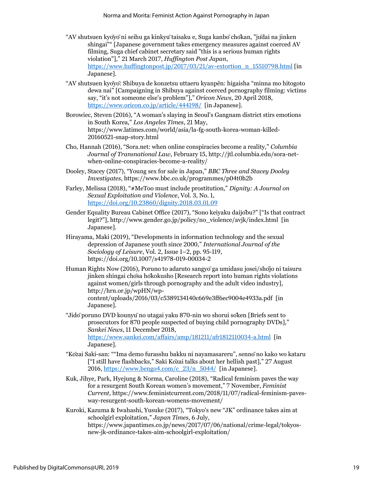- "AV shutsuen kyōyōni seihu ga kinkyūtaisaku e, Suga kanbōchōkan, "jūdai na jinken shingai"" [Japanese government takes emergency measures against coerced AV filming, Suga chief cabinet secretary said "this is a serious human rights violation"]," 21 March 2017, *Huffington Post Japan*, [https://www.huffingtonpost.jp/2017/03/21/av-extortion\\_n\\_15510798.html](https://www.huffingtonpost.jp/2017/03/21/av-extortion_n_15510798.html) [in Japanese].
- "AV shutsuen kyōyō: Shibuya de konzetsu uttaeru kyanpēn: higaisha "minna mo hitogoto dewa nai" [Campaigning in Shibuya against coerced pornography filming: victims say, "it's not someone else's problem"]," *Oricon News*, 20 April 2018, <https://www.oricon.co.jp/article/444198/> [in Japanese].
- Borowiec, Steven (2016), "A woman's slaying in Seoul's Gangnam district stirs emotions in South Korea," *Los Angeles Times*, 21 May, [https://www.latimes.com/world/asia/la-fg-south-korea-woman-killed-](https://www.latimes.com/world/asia/la-fg-south-korea-woman-killed-20160521-snap-story.html)[20160521-snap-story.html](https://www.latimes.com/world/asia/la-fg-south-korea-woman-killed-20160521-snap-story.html)
- Cho, Hannah (2016), "Sora.net: when online conspiracies become a reality," *Columbia Journal of Transnational Law*, February 15[, http://jtl.columbia.edu/sora-net](http://jtl.columbia.edu/sora-net-when-online-conspiracies-become-a-reality/)[when-online-conspiracies-become-a-reality/](http://jtl.columbia.edu/sora-net-when-online-conspiracies-become-a-reality/)
- Dooley, Stacey (2017), "Young sex for sale in Japan," *BBC Three and Stacey Dooley Investigates*[, https://www.bbc.co.uk/programmes/p04t0h2b](https://www.bbc.co.uk/programmes/p04t0h2b)
- Farley, Melissa (2018), "#MeToo must include prostitution," *Dignity: A Journal on Sexual Exploitation and Violence*, Vol. 3, No. 1, <https://doi.org/10.23860/dignity.2018.03.01.09>
- Gender Equality Bureau Cabinet Office (2017), "Sono keiyaku daijōbu?" ["Is that contract legit?"], [http://www.gender.go.jp/policy/no\\_violence/avjk/index.html](http://www.gender.go.jp/policy/no_violence/avjk/index.html) [in Japanese].
- Hirayama, Maki (2019), "Developments in information technology and the sexual depression of Japanese youth since 2000," *International Journal of the Sociology of Leisure*, Vol. 2, Issue 1–2, pp. 95-119, <https://doi.org/10.1007/s41978-019-00034-2>
- Human Rights Now (2016), Poruno to adaruto sangyōga umidasu josei/shōjo ni taisuru jinken shingai chōsa hōkokusho [Research report into human rights violations against women/girls through pornography and the adult video industry], [http://hrn.or.jp/wpHN/wp](http://hrn.or.jp/wpHN/wp-content/uploads/2016/03/c5389134140c669e3ff6ec9004e4933a.pdf)[content/uploads/2016/03/c5389134140c669e3ff6ec9004e4933a.pdf](http://hrn.or.jp/wpHN/wp-content/uploads/2016/03/c5389134140c669e3ff6ec9004e4933a.pdf) [in Japanese].
- "Jidōporuno DVD kounyūno utagai yaku 870-nin wo shorui sōken [Briefs sent to prosecutors for 870 people suspected of buying child pornography DVDs]," *Sankei News*, 11 December 2018, <https://www.sankei.com/affairs/amp/181211/afr1812110034-a.html> [in Japanese].
- "Kōzai Saki-san: ""Ima demo furasshu bakku ni nayamasareru", sennōno kako wo kataru ["I still have flashbacks," Saki Kōzai talks about her hellish past]," 27 August 2016, https://www.bengo4.com/c $23/n$  5044/ [in Japanese].
- Kuk, Jihye, Park, Hyejung & Norma, Caroline (2018), "Radical feminism paves the way for a resurgent South Korean women's movement," 7 November, *Feminist Current*[, https://www.feministcurrent.com/2018/11/07/radical-feminism-paves](https://www.feministcurrent.com/2018/11/07/radical-feminism-paves-way-resurgent-south-korean-womens-movement/)[way-resurgent-south-korean-womens-movement/](https://www.feministcurrent.com/2018/11/07/radical-feminism-paves-way-resurgent-south-korean-womens-movement/)
- Kuroki, Kazuma & Iwahashi, Yusuke (2017), "Tokyo's new "JK" ordinance takes aim at schoolgirl exploitation," *Japan Times*, 6 July, [https://www.japantimes.co.jp/news/2017/07/06/national/crime-legal/tokyos](https://www.japantimes.co.jp/news/2017/07/06/national/crime-legal/tokyos-new-jk-ordinance-takes-aim-schoolgirl-exploitation/)[new-jk-ordinance-takes-aim-schoolgirl-exploitation/](https://www.japantimes.co.jp/news/2017/07/06/national/crime-legal/tokyos-new-jk-ordinance-takes-aim-schoolgirl-exploitation/)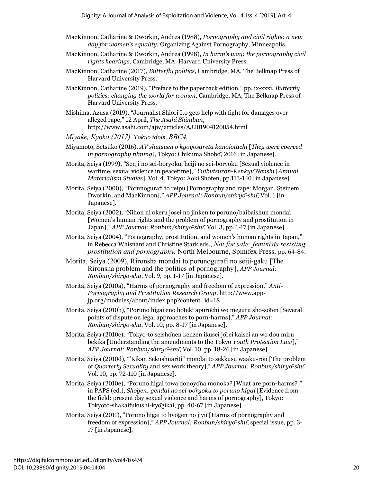- MacKinnon, Catharine & Dworkin, Andrea (1988), *Pornography and civil rights: a new day for women's equality,* Organizing Against Pornography, Minneapolis.
- MacKinnon, Catharine & Dworkin, Andrea (1998), *In harm's way: the pornography civil rights hearings*, Cambridge, MA: Harvard University Press.
- MacKinnon, Catharine (2017), *Butterfly politics*, Cambridge, MA, The Belknap Press of Harvard University Press.
- MacKinnon, Catharine (2019), "Preface to the paperback edition," pp. ix-xxxi, *Butterfly politics: changing the world for women*, Cambridge, MA, The Belknap Press of Harvard University Press.
- Mishima, Azusa (2019), "Journalist Shiori Ito gets help with fight for damages over alleged rape," 12 April, *The Asahi Shimbun*, <http://www.asahi.com/ajw/articles/AJ201904120054.html>
- *Miyake, Ky*o*ko (2017), Tokyo idols*, *BBC4.*
- Miyamoto, Setsuko (2016), *AV shutsuen o kyōyōsareta kanojotachi* [*They were coerced in pornography filming*], Tokyo: Chikuma Shobō, 2016 [in Japanese].
- Morita, Seiya (1999), "Senji no sei-bōryoku, heiji no sei-bōryoku [Sexual violence in wartime, sexual violence in peacetime]," *Yuibutsuron-KenkyūNenshi* [*Annual Materialism Studies*], Vol. 4, Tokyo: Aoki Shoten, pp.113-140 [in Japanese].
- Morita, Seiya (2000), "Porunogurafi to reipu [Pornography and rape: Morgan, Steinem, Dworkin, and MacKinnon]," *APP Journal: Ronbun/shiryō-shū*, Vol. 1 [in Japanese].
- Morita, Seiya (2002), "Nihon ni okeru josei no jinken to poruno/baibaishun mondai [Women's human rights and the problem of pornography and prostitution in Japan]," *APP Journal: Ronbun/shiryō-shū*, Vol. 3, pp. 1-17 [in Japanese].
- Morita, Seiya (2004), "Pornography, prostitution, and women's human rights in Japan," in Rebecca [Whisnant and Christine S](https://en.wikipedia.org/wiki/Rebecca_Whisnant)tark eds., *Not for sale: feminists resisting prostitution and pornography,* North Melbourne, Spinifex Press, pp. 64-84.
- Morita, Seiya (2009), Rironsha mondai to porunogurafi no seiji-gaku [The Rironsha problem and the politics of pornography], *APP Journal: Ronbun/shiryō-shū*, Vol. 9, pp. 1-17 [in Japanese].
- Morita, Seiya (2010a), "Harms of pornography and freedom of expression," *Anti-Pornography and Prostitution Research Group*, [http://www.app](http://www.app-jp.org/modules/about/index.php?content_id=18)[jp.org/modules/about/index.php?content\\_id=18](http://www.app-jp.org/modules/about/index.php?content_id=18)
- Morita, Seiya (2010b), "Poruno higai eno hōteki apurōchi wo meguru sho-sōten [Several points of dispute on legal approaches to porn-harms]," *APP Journal: Ronbun/shiryō-shū*, Vol. 10, pp. 8-17 [in Japanese].
- Morita, Seiya (2010c), "Tokyo-to seishōnen kenzen ikusei jōrei kaisei an wo dou miru bekika [Understanding the amendments to the Tokyo *Youth Protection Law*]," *APP Journal: Ronbun/shiryō-shū*, Vol. 10, pp. 18-26 [in Japanese].
- Morita, Seiya (2010d), "'Kikan Sekushuariti" mondai to sekkusu waaku-ron [The problem of *Quarterly Sexuality* and sex work theory]," *APP Journal: Ronbun/shiryō-shū*, Vol. 10, pp. 72-110 [in Japanese].
- Morita, Seiya (2010e), "Poruno higai towa donoyōna monoka? [What are porn-harms?]" in PAPS (ed.), *Shōgen: gendai no sei-bōryoku to poruno higai* [Evidence from the field: present day sexual violence and harms of pornography], Tokyo: Tokyoto-shakaifukushi-kyōgikai, pp. 40-67 [in Japanese].
- Morita, Seiya (2011), "Poruno higai to hyōgen no jiyū[Harms of pornography and freedom of expression]," *APP Journal: Ronbun/shiryō-shū*, special issue, pp. 3- 17 [in Japanese].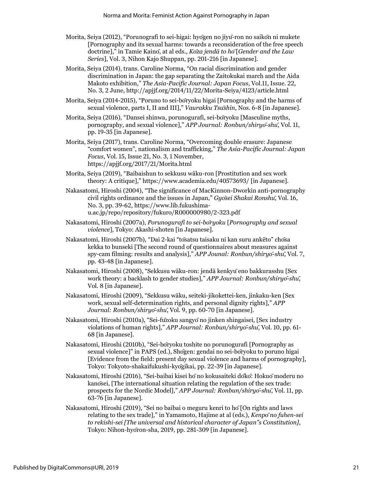- Morita, Seiya (2012), "Porunografi to sei-higai: hyōgen no jiyū-ron no saikōn ni mukete [Pornography and its sexual harms: towards a reconsideration of the free speech doctrine]," in Tamie Kainō, at al eds., *Kōza jendā to hō*[*Gender and the Law Series*], Vol. 3, Nihon Kajo Shuppan, pp. 201-216 [in Japanese].
- Morita, Seiya (2014), trans. Caroline Norma, "On racial discrimination and gender discrimination in Japan: the gap separating the Zaitokukai march and the Aida Makoto exhibition," *The Asia-Pacific Journal: Japan Focus*, Vol.11, Issue. 22, No. 3, 2 June, http://apjjf.org/2014/11/22/Morita-Seiya/4123/article.html
- Morita, Seiya (2014-2015), "Poruno to sei-bōryoku higai [Pornography and the harms of sexual violence, parts I, II and III]," *Vaurakku Tsūshin*, Nos. 6-8 [in Japanese].
- Morita, Seiya (2016), "Dansei shinwa, porunogurafi, sei-bōryoku [Masculine myths, pornography, and sexual violence]," *APP Journal: Ronbun/shiryō-shū*, Vol. 11, pp. 19-35 [in Japanese].
- Morita, Seiya (2017), trans. Caroline Norma, "Overcoming double erasure: Japanese "comfort women", nationalism and trafficking," *The Asia-Pacific Journal: Japan Focus*, Vol. 15, Issue 21, No. 3, 1 November, <https://apjjf.org/2017/21/Morita.html>
- Morita, Seiya (2019), "Baibaishun to sekkusu wāku-ron [Prostitution and sex work theory: A critique],"<https://www.academia.edu/40573693/> [in Japanese].
- Nakasatomi, Hiroshi (2004), "The significance of MacKinnon-Dworkin anti-pornography civil rights ordinance and the issues in Japan," *Gyōsei Shakai Ronshū*, Vol. 16, No. 3, pp. 39-62[, https://www.lib.fukushima](https://www.lib.fukushima-u.ac.jp/repo/repository/fukuro/R000000980/2-323.pdf)[u.ac.jp/repo/repository/fukuro/R000000980/2-323.pdf](https://www.lib.fukushima-u.ac.jp/repo/repository/fukuro/R000000980/2-323.pdf)
- Nakasatomi, Hiroshi (2007a), *Porunogurafi to sei-bōryoku* [*Pornography and sexual violence*], Tokyo: Akashi-shoten [in Japanese].
- Nakasatomi, Hiroshi (2007b), "Dai 2-kai "tōsatsu taisaku ni kan suru ankēto" chōsa kekka to bunseki [The second round of questionnaires about measures against spy-cam filming: results and analysis]," *APP Jounal: Ronbun/shiryō-shū*, Vol. 7, pp. 43-48 [in Japanese].
- Nakasatomi, Hiroshi (2008), "Sekkusu wāku-ron: jendā kenkyūeno bakkurasshu [Sex work theory: a backlash to gender studies]," *APP Journal: Ronbun/shiryō-shū*, Vol. 8 [in Japanese].
- Nakasatomi, Hiroshi (2009), "Sekkusu wāku, seiteki-jikokettei-ken, jinkaku-ken [Sex work, sexual self-determination rights, and personal dignity rights]," *APP Journal: Ronbun/shiryō-shū*, Vol. 9, pp. 60-70 [in Japanese].
- Nakasatomi, Hiroshi (2010a), "Sei-fūzoku sangyōno jinken shingaisei, [Sex industry violations of human rights]," *APP Journal: Ronbun/shiryō-shū*, Vol. 10, pp. 61- 68 [in Japanese].
- Nakasatomi, Hiroshi (2010b), "Sei-bōryoku toshite no porunogurafi [Pornography as sexual violence]" in PAPS (ed.), Shōgen: gendai no sei-bōryoku to poruno higai [Evidence from the field: present day sexual violence and harms of pornography], Tokyo: Tokyoto-shakaifukushi-kyōgikai, pp. 22-39 [in Japanese].
- Nakasatomi, Hiroshi (2016), "Sei-baibai kisei hōno kokusaiteki dōkō: Hokuōmoderu no kanōsei, [The international situation relating the regulation of the sex trade: prospects for the Nordic Model]," *APP Journal: Ronbun/shiryō-shū*, Vol. 11, pp. 63-76 [in Japanese].
- Nakasatomi, Hiroshi (2019), "Sei no baibai o meguru kenri to hō[On rights and laws relating to the sex trade]," in Yamamoto, Hajime at al (eds.), *Kenpōno fuhen-sei to rekishi-sei [The universal and historical character of Japan"s Constitution]*, Tokyo: Nihon-hyōron-sha, 2019, pp. 281-309 [in Japanese].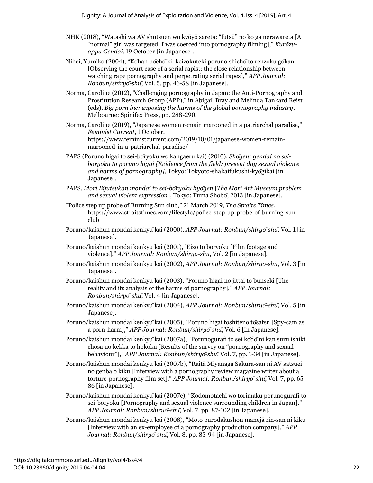- NHK (2018), "Watashi wa AV shutsuen wo kyōyō sareta: "futsū" no ko ga nerawareta [A "normal" girl was targeted: I was coerced into pornography filming]," *Kurōzuappu Gendai*, 19 October [in Japanese].
- Nihei, Yumiko (2004), "Kōhan bōchōki: keizokuteki poruno shichōto renzoku gōkan [Observing the court case of a serial rapist: the close relationship between watching rape pornography and perpetrating serial rapes]," *APP Journal: Ronbun/shiryō-shū*, Vol. 5, pp. 46-58 [in Japanese].
- Norma, Caroline (2012), "Challenging pornography in Japan: the Anti-Pornography and Prostitution Research Group (APP)," in Abigail Bray and Melinda Tankard Reist (eds), *Big porn inc: exposing the harms of the global pornography industry*, Melbourne: Spinifex Press, pp. 288-290.
- Norma, Caroline (2019), "Japanese women remain marooned in a patriarchal paradise," *Feminist Current*, 1 October, https://www.feministcurrent.com/2019/10/01/japanese-women-remainmarooned-in-a-patriarchal-paradise/
- PAPS (Poruno higai to sei-bōryoku wo kangaeru kai) (2010), *Shōgen: gendai no seibōryoku to poruno higai [Evidence from the field: present day sexual violence and harms of pornography]*, Tokyo: Tokyoto-shakaifukushi-kyōgikai [in Japanese].
- PAPS, *Mori Bijutsukan mondai to sei-bōryoku hyōgen* [*The Mori Art Museum problem and sexual violent expression*], Tokyo: Fuma Shobō, 2013 [in Japanese].
- "Police step up probe of Burning Sun club," 21 March 2019, *The Straits Times*, https://www.straitstimes.com/lifestyle/police-step-up-probe-of-burning-sunclub
- Poruno/kaishun mondai kenkyūkai (2000), *APP Journal: Ronbun/shiryō-shū*, Vol. 1 [in Japanese].
- Poruno/kaishun mondai kenkyūkai (2001), "Eizōto bōryoku [Film footage and violence]," *APP Journal: Ronbun/shiryō-shū*, Vol. 2 [in Japanese].
- Poruno/kaishun mondai kenkyūkai (2002), *APP Journal: Ronbun/shiryō-shū*, Vol. 3 [in Japanese].
- Poruno/kaishun mondai kenkyūkai (2003), "Poruno higai no jittai to bunseki [The reality and its analysis of the harms of pornography]," *APP Journal: Ronbun/shiryō-shū*, Vol. 4 [in Japanese].
- Poruno/kaishun mondai kenkyūkai (2004), *APP Journal: Ronbun/shiryō-shū*, Vol. 5 [in Japanese].
- Poruno/kaishun mondai kenkyūkai (2005), "Poruno higai toshiteno tōsatsu [Spy-cam as a porn-harm]," *APP Journal: Ronbun/shiryō-shū*, Vol. 6 [in Japanese].
- Poruno/kaishun mondai kenkyūkai (2007a), "Porunogurafi to sei kōdōni kan suru ishiki chōsa no kekka to hōkoku [Results of the survey on "pornography and sexual behaviour"]," *APP Journal: Ronbun/shiryō-shū*, Vol. 7, pp. 1-34 [in Japanese].
- Poruno/kaishun mondai kenkyūkai (2007b), "Raitā Miyanaga Sakura-san ni AV satsuei no genba o kiku [Interview with a pornography review magazine writer about a torture-pornography film set]," *APP Journal: Ronbun/shiryō-shū*, Vol. 7, pp. 65- 86 [in Japanese].
- Poruno/kaishun mondai kenkyūkai (2007c), "Kodomotachi wo torimaku porunogurafi to sei-bōryoku [Pornography and sexual violence surrounding children in Japan]," *APP Journal: Ronbun/shiryō-shū*, Vol. 7, pp. 87-102 [in Japanese].
- Poruno/kaishun mondai kenkyūkai (2008), "Moto purodakushon manejā rin-san ni kiku [Interview with an ex-employee of a pornography production company]," *APP Journal: Ronbun/shiryō-shū*, Vol. 8, pp. 83-94 [in Japanese].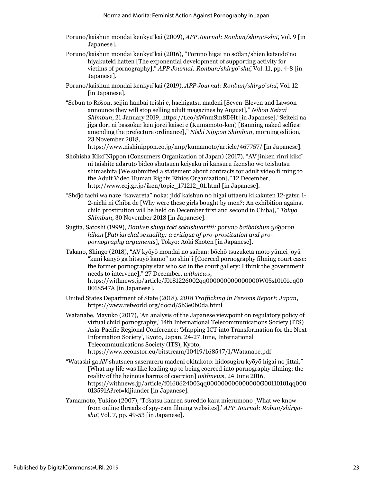- Poruno/kaishun mondai kenkyūkai (2009), *APP Journal: Ronbun/shiryō-shū*, Vol. 9 [in Japanese].
- Poruno/kaishun mondai kenkyūkai (2016), "Poruno higai no sōdan/shien katsudōno hiyakuteki hatten [The exponential development of supporting activity for victims of pornography]," *APP Journal: Ronbun/shiryō-shū*, Vol. 11, pp. 4-8 [in Japanese].
- Poruno/kaishun mondai kenkyūkai (2019), *APP Journal: Ronbun/shiryō-shū*, Vol. 12 [in Japanese].
- "Sebun to Rōson, seijin hanbai teishi e, hachigatsu madeni [Seven-Eleven and Lawson announce they will stop selling adult magazines by August]," *Nihon Keizai Shimbun*, 21 January 2019, https://t.co/zWnmSm8DHt [in Japanese]."Seiteki na jiga dori ni bassoku: ken jōrei kaisei e (Kumamoto-ken) [Banning naked selfies: amending the prefecture ordinance]," *Nishi Nippon Shimbun*, morning edition, 23 November 2018,

https://www.nishinippon.co.jp/nnp/kumamoto/article/467757/ [in Japanese].

- Shōhisha KikōNippon (Consumers Organization of Japan) (2017), "AV jinken rinri kikō ni taishite adaruto bideo shutsuen keiyaku ni kansuru ikensho wo teishutsu shimashita [We submitted a statement about contracts for adult video filming to the Adult Video Human Rights Ethics Organization]," 12 December, [http://www.coj.gr.jp/iken/topic\\_171212\\_01.html](http://www.coj.gr.jp/iken/topic_171212_01.html) [in Japanese].
- "Shōjo tachi wa naze "kawareta" noka: jidōkaishun no higai uttaeru kikakuten 12-gatsu 1- 2-nichi ni Chiba de [Why were these girls bought by men?: An exhibition against child prostitution will be held on December first and second in Chiba]," *Tokyo Shimbun*, 30 November 2018 [in Japanese].
- Sugita, Satoshi (1999), *Danken shugi teki sekushuaritii: poruno baibaishun yōgoron hihan* [*Patriarchal sexuality: a critique of pro-prostitution and propornography arguments*], Tokyo: Aoki Shoten [in Japanese].
- Takano, Shingo (2018), "AV kyōyō mondai no saiban: bōchō tsuzuketa moto yūmei joyū "kuni kanyō ga hitsuyō kamo" no shin"i [Coerced pornography filming court case: the former pornography star who sat in the court gallery: I think the government needs to intervene]," 27 December, *withnews*, [https://withnews.jp/article/f0181226002qq000000000000000W05s10101qq00](https://withnews.jp/article/f0181226002qq000000000000000W05s10101qq000018547A) [0018547A](https://withnews.jp/article/f0181226002qq000000000000000W05s10101qq000018547A) [in Japanese].
- United States Department of State (2018), *2018 Trafficking in Persons Report: Japan*, https://www.refworld.org/docid/5b3e0b0da.html
- Watanabe, Mayuko (2017), 'An analysis of the Japanese viewpoint on regulatory policy of virtual child pornography,' 14th International Telecommunications Society (ITS) Asia-Pacific Regional Conference: 'Mapping ICT into Transformation for the Next Information Society', Kyoto, Japan, 24-27 June, International Telecommunications Society (ITS), Kyoto, <https://www.econstor.eu/bitstream/10419/168547/1/Watanabe.pdf>
- "Watashi ga AV shutsuen saserareru madeni okitakoto: hidosugiru kyōyō higai no jittai," [What my life was like leading up to being coerced into pornography filming: the reality of the heinous harms of coercion] *withnews*, 24 June 2016, https://withnews.jp/article/f0160624003qq000000000000000G00110101qq000 013591A?ref=kijiunder [in Japanese].
- Yamamoto, Yukino (2007), 'Tōsatsu kanren sureddo kara mierumono [What we know from online threads of spy-cam filming websites],' *APP Journal: Robun/shiryō shū*, Vol. 7, pp. 49-53 [in Japanese].